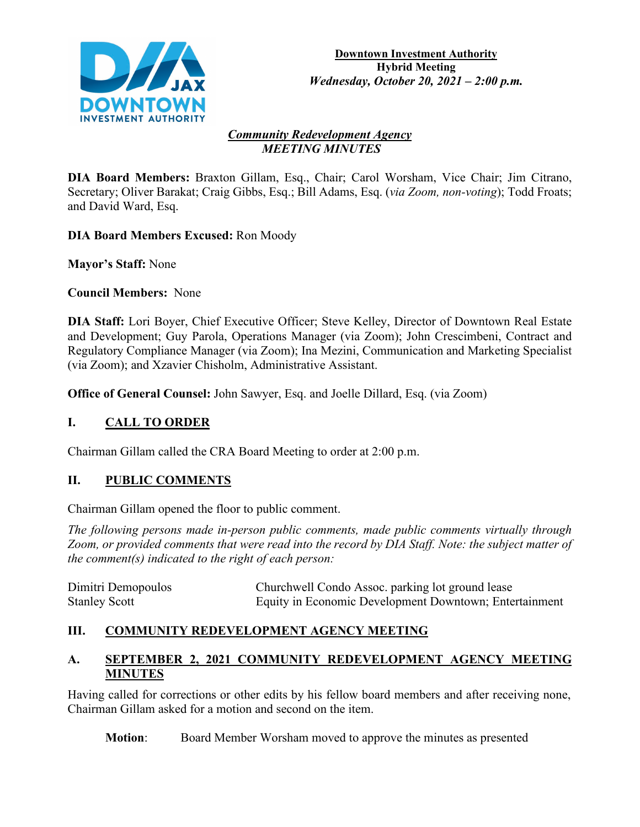

#### *Community Redevelopment Agency MEETING MINUTES*

**DIA Board Members:** Braxton Gillam, Esq., Chair; Carol Worsham, Vice Chair; Jim Citrano, Secretary; Oliver Barakat; Craig Gibbs, Esq.; Bill Adams, Esq. (*via Zoom, non-voting*); Todd Froats; and David Ward, Esq.

**DIA Board Members Excused:** Ron Moody

**Mayor's Staff:** None

**Council Members:** None

**DIA Staff:** Lori Boyer, Chief Executive Officer; Steve Kelley, Director of Downtown Real Estate and Development; Guy Parola, Operations Manager (via Zoom); John Crescimbeni, Contract and Regulatory Compliance Manager (via Zoom); Ina Mezini, Communication and Marketing Specialist (via Zoom); and Xzavier Chisholm, Administrative Assistant.

**Office of General Counsel:** John Sawyer, Esq. and Joelle Dillard, Esq. (via Zoom)

# **I. CALL TO ORDER**

Chairman Gillam called the CRA Board Meeting to order at 2:00 p.m.

# **II. PUBLIC COMMENTS**

Chairman Gillam opened the floor to public comment.

*The following persons made in-person public comments, made public comments virtually through Zoom, or provided comments that were read into the record by DIA Staff. Note: the subject matter of the comment(s) indicated to the right of each person:*

| Dimitri Demopoulos   | Churchwell Condo Assoc. parking lot ground lease       |
|----------------------|--------------------------------------------------------|
| <b>Stanley Scott</b> | Equity in Economic Development Downtown; Entertainment |

# **III. COMMUNITY REDEVELOPMENT AGENCY MEETING**

## **A. SEPTEMBER 2, 2021 COMMUNITY REDEVELOPMENT AGENCY MEETING MINUTES**

Having called for corrections or other edits by his fellow board members and after receiving none, Chairman Gillam asked for a motion and second on the item.

**Motion**: Board Member Worsham moved to approve the minutes as presented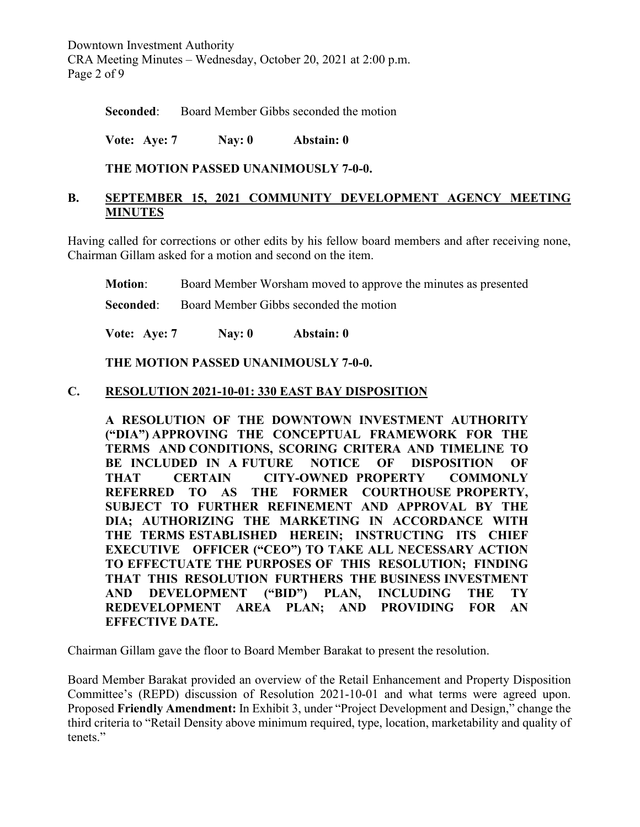Downtown Investment Authority CRA Meeting Minutes – Wednesday, October 20, 2021 at 2:00 p.m. Page 2 of 9

**Seconded:** Board Member Gibbs seconded the motion

**Vote: Aye: 7 Nay: 0 Abstain: 0**

### **THE MOTION PASSED UNANIMOUSLY 7-0-0.**

### **B. SEPTEMBER 15, 2021 COMMUNITY DEVELOPMENT AGENCY MEETING MINUTES**

Having called for corrections or other edits by his fellow board members and after receiving none, Chairman Gillam asked for a motion and second on the item.

**Motion**: Board Member Worsham moved to approve the minutes as presented

**Seconded:** Board Member Gibbs seconded the motion

**Vote: Aye: 7 Nay: 0 Abstain: 0**

#### **THE MOTION PASSED UNANIMOUSLY 7-0-0.**

### **C. RESOLUTION 2021-10-01: 330 EAST BAY DISPOSITION**

**A RESOLUTION OF THE DOWNTOWN INVESTMENT AUTHORITY ("DIA") APPROVING THE CONCEPTUAL FRAMEWORK FOR THE TERMS AND CONDITIONS, SCORING CRITERA AND TIMELINE TO BE INCLUDED IN A FUTURE NOTICE OF DISPOSITION OF THAT CERTAIN CITY-OWNED PROPERTY COMMONLY REFERRED TO AS THE FORMER COURTHOUSE PROPERTY, SUBJECT TO FURTHER REFINEMENT AND APPROVAL BY THE DIA; AUTHORIZING THE MARKETING IN ACCORDANCE WITH THE TERMS ESTABLISHED HEREIN; INSTRUCTING ITS CHIEF EXECUTIVE OFFICER ("CEO") TO TAKE ALL NECESSARY ACTION TO EFFECTUATE THE PURPOSES OF THIS RESOLUTION; FINDING THAT THIS RESOLUTION FURTHERS THE BUSINESS INVESTMENT AND DEVELOPMENT ("BID") PLAN, INCLUDING THE TY REDEVELOPMENT AREA PLAN; AND PROVIDING FOR AN EFFECTIVE DATE.**

Chairman Gillam gave the floor to Board Member Barakat to present the resolution.

Board Member Barakat provided an overview of the Retail Enhancement and Property Disposition Committee's (REPD) discussion of Resolution 2021-10-01 and what terms were agreed upon. Proposed **Friendly Amendment:** In Exhibit 3, under "Project Development and Design," change the third criteria to "Retail Density above minimum required, type, location, marketability and quality of tenets."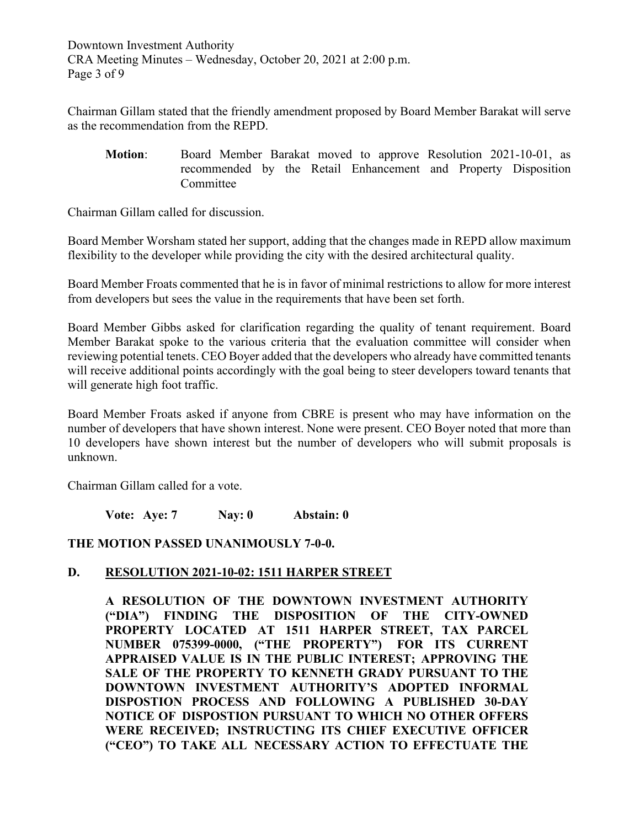Downtown Investment Authority CRA Meeting Minutes – Wednesday, October 20, 2021 at 2:00 p.m. Page 3 of 9

Chairman Gillam stated that the friendly amendment proposed by Board Member Barakat will serve as the recommendation from the REPD.

**Motion**: Board Member Barakat moved to approve Resolution 2021-10-01, as recommended by the Retail Enhancement and Property Disposition Committee

Chairman Gillam called for discussion.

Board Member Worsham stated her support, adding that the changes made in REPD allow maximum flexibility to the developer while providing the city with the desired architectural quality.

Board Member Froats commented that he is in favor of minimal restrictions to allow for more interest from developers but sees the value in the requirements that have been set forth.

Board Member Gibbs asked for clarification regarding the quality of tenant requirement. Board Member Barakat spoke to the various criteria that the evaluation committee will consider when reviewing potential tenets. CEO Boyer added that the developers who already have committed tenants will receive additional points accordingly with the goal being to steer developers toward tenants that will generate high foot traffic.

Board Member Froats asked if anyone from CBRE is present who may have information on the number of developers that have shown interest. None were present. CEO Boyer noted that more than 10 developers have shown interest but the number of developers who will submit proposals is unknown.

Chairman Gillam called for a vote.

**Vote: Aye: 7 Nay: 0 Abstain: 0**

**THE MOTION PASSED UNANIMOUSLY 7-0-0.**

### **D. RESOLUTION 2021-10-02: 1511 HARPER STREET**

**A RESOLUTION OF THE DOWNTOWN INVESTMENT AUTHORITY ("DIA") FINDING THE DISPOSITION OF THE CITY-OWNED PROPERTY LOCATED AT 1511 HARPER STREET, TAX PARCEL NUMBER 075399-0000, ("THE PROPERTY") FOR ITS CURRENT APPRAISED VALUE IS IN THE PUBLIC INTEREST; APPROVING THE SALE OF THE PROPERTY TO KENNETH GRADY PURSUANT TO THE DOWNTOWN INVESTMENT AUTHORITY'S ADOPTED INFORMAL DISPOSTION PROCESS AND FOLLOWING A PUBLISHED 30-DAY NOTICE OF DISPOSTION PURSUANT TO WHICH NO OTHER OFFERS WERE RECEIVED; INSTRUCTING ITS CHIEF EXECUTIVE OFFICER ("CEO") TO TAKE ALL NECESSARY ACTION TO EFFECTUATE THE**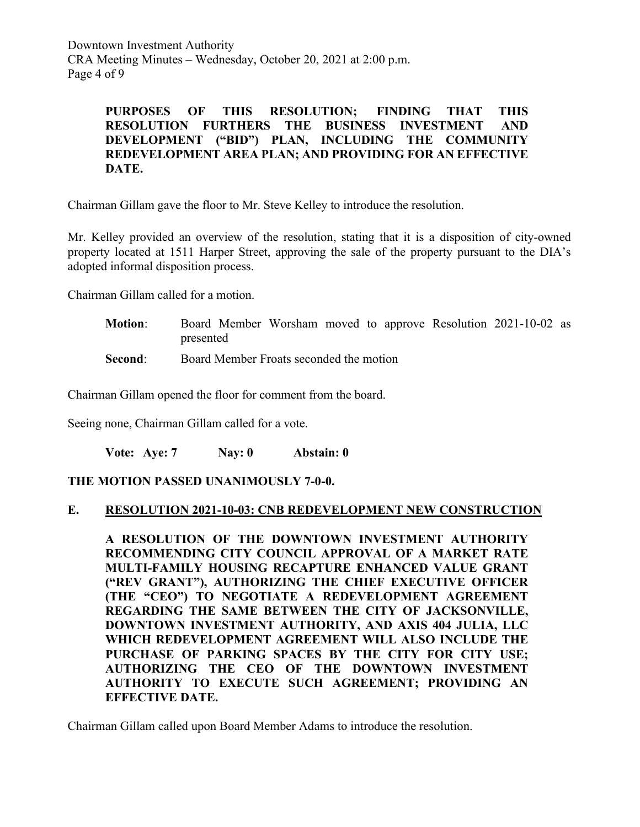Downtown Investment Authority CRA Meeting Minutes – Wednesday, October 20, 2021 at 2:00 p.m. Page 4 of 9

> **PURPOSES OF THIS RESOLUTION; FINDING THAT THIS RESOLUTION FURTHERS THE BUSINESS INVESTMENT AND DEVELOPMENT ("BID") PLAN, INCLUDING THE COMMUNITY REDEVELOPMENT AREA PLAN; AND PROVIDING FOR AN EFFECTIVE DATE.**

Chairman Gillam gave the floor to Mr. Steve Kelley to introduce the resolution.

Mr. Kelley provided an overview of the resolution, stating that it is a disposition of city-owned property located at 1511 Harper Street, approving the sale of the property pursuant to the DIA's adopted informal disposition process.

Chairman Gillam called for a motion.

**Motion**: Board Member Worsham moved to approve Resolution 2021-10-02 as presented

**Second:** Board Member Froats seconded the motion

Chairman Gillam opened the floor for comment from the board.

Seeing none, Chairman Gillam called for a vote.

**Vote: Aye: 7 Nay: 0 Abstain: 0**

#### **THE MOTION PASSED UNANIMOUSLY 7-0-0.**

#### **E. RESOLUTION 2021-10-03: CNB REDEVELOPMENT NEW CONSTRUCTION**

**A RESOLUTION OF THE DOWNTOWN INVESTMENT AUTHORITY RECOMMENDING CITY COUNCIL APPROVAL OF A MARKET RATE MULTI-FAMILY HOUSING RECAPTURE ENHANCED VALUE GRANT ("REV GRANT"), AUTHORIZING THE CHIEF EXECUTIVE OFFICER (THE "CEO") TO NEGOTIATE A REDEVELOPMENT AGREEMENT REGARDING THE SAME BETWEEN THE CITY OF JACKSONVILLE, DOWNTOWN INVESTMENT AUTHORITY, AND AXIS 404 JULIA, LLC WHICH REDEVELOPMENT AGREEMENT WILL ALSO INCLUDE THE PURCHASE OF PARKING SPACES BY THE CITY FOR CITY USE; AUTHORIZING THE CEO OF THE DOWNTOWN INVESTMENT AUTHORITY TO EXECUTE SUCH AGREEMENT; PROVIDING AN EFFECTIVE DATE.**

Chairman Gillam called upon Board Member Adams to introduce the resolution.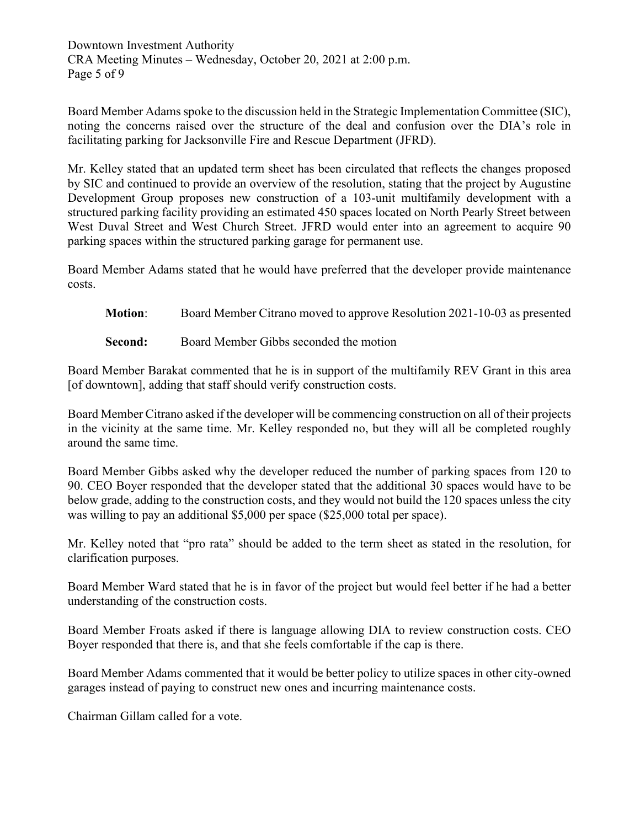Downtown Investment Authority CRA Meeting Minutes – Wednesday, October 20, 2021 at 2:00 p.m. Page 5 of 9

Board Member Adams spoke to the discussion held in the Strategic Implementation Committee (SIC), noting the concerns raised over the structure of the deal and confusion over the DIA's role in facilitating parking for Jacksonville Fire and Rescue Department (JFRD).

Mr. Kelley stated that an updated term sheet has been circulated that reflects the changes proposed by SIC and continued to provide an overview of the resolution, stating that the project by Augustine Development Group proposes new construction of a 103-unit multifamily development with a structured parking facility providing an estimated 450 spaces located on North Pearly Street between West Duval Street and West Church Street. JFRD would enter into an agreement to acquire 90 parking spaces within the structured parking garage for permanent use.

Board Member Adams stated that he would have preferred that the developer provide maintenance costs.

**Motion**: Board Member Citrano moved to approve Resolution 2021-10-03 as presented

**Second:** Board Member Gibbs seconded the motion

Board Member Barakat commented that he is in support of the multifamily REV Grant in this area [of downtown], adding that staff should verify construction costs.

Board Member Citrano asked if the developer will be commencing construction on all of their projects in the vicinity at the same time. Mr. Kelley responded no, but they will all be completed roughly around the same time.

Board Member Gibbs asked why the developer reduced the number of parking spaces from 120 to 90. CEO Boyer responded that the developer stated that the additional 30 spaces would have to be below grade, adding to the construction costs, and they would not build the 120 spaces unless the city was willing to pay an additional \$5,000 per space (\$25,000 total per space).

Mr. Kelley noted that "pro rata" should be added to the term sheet as stated in the resolution, for clarification purposes.

Board Member Ward stated that he is in favor of the project but would feel better if he had a better understanding of the construction costs.

Board Member Froats asked if there is language allowing DIA to review construction costs. CEO Boyer responded that there is, and that she feels comfortable if the cap is there.

Board Member Adams commented that it would be better policy to utilize spaces in other city-owned garages instead of paying to construct new ones and incurring maintenance costs.

Chairman Gillam called for a vote.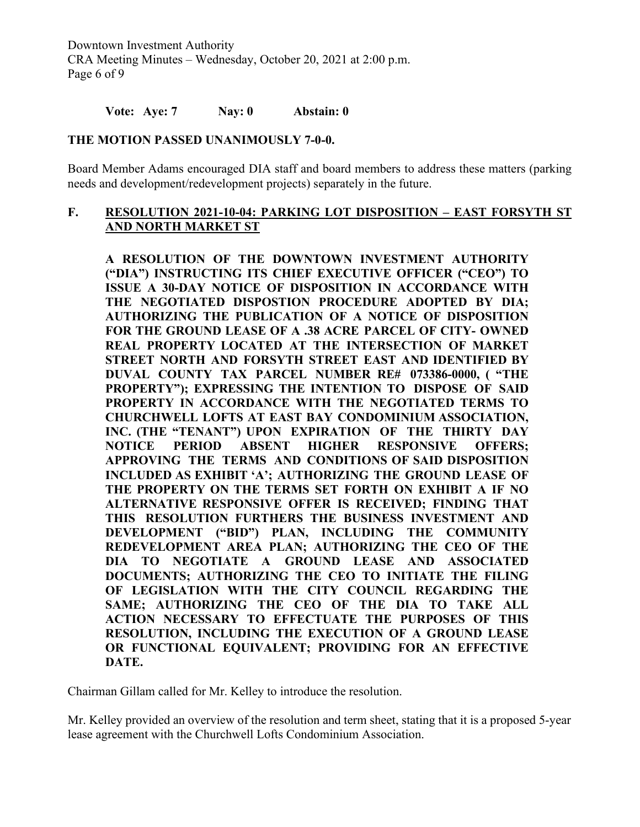Downtown Investment Authority CRA Meeting Minutes – Wednesday, October 20, 2021 at 2:00 p.m. Page 6 of 9

#### **Vote: Aye: 7 Nay: 0 Abstain: 0**

#### **THE MOTION PASSED UNANIMOUSLY 7-0-0.**

Board Member Adams encouraged DIA staff and board members to address these matters (parking needs and development/redevelopment projects) separately in the future.

### **F. RESOLUTION 2021-10-04: PARKING LOT DISPOSITION – EAST FORSYTH ST AND NORTH MARKET ST**

**A RESOLUTION OF THE DOWNTOWN INVESTMENT AUTHORITY ("DIA") INSTRUCTING ITS CHIEF EXECUTIVE OFFICER ("CEO") TO ISSUE A 30-DAY NOTICE OF DISPOSITION IN ACCORDANCE WITH THE NEGOTIATED DISPOSTION PROCEDURE ADOPTED BY DIA; AUTHORIZING THE PUBLICATION OF A NOTICE OF DISPOSITION FOR THE GROUND LEASE OF A .38 ACRE PARCEL OF CITY- OWNED REAL PROPERTY LOCATED AT THE INTERSECTION OF MARKET STREET NORTH AND FORSYTH STREET EAST AND IDENTIFIED BY DUVAL COUNTY TAX PARCEL NUMBER RE# 073386-0000, ( "THE PROPERTY"); EXPRESSING THE INTENTION TO DISPOSE OF SAID PROPERTY IN ACCORDANCE WITH THE NEGOTIATED TERMS TO CHURCHWELL LOFTS AT EAST BAY CONDOMINIUM ASSOCIATION, INC. (THE "TENANT") UPON EXPIRATION OF THE THIRTY DAY NOTICE PERIOD ABSENT HIGHER RESPONSIVE OFFERS; APPROVING THE TERMS AND CONDITIONS OF SAID DISPOSITION INCLUDED AS EXHIBIT 'A'; AUTHORIZING THE GROUND LEASE OF THE PROPERTY ON THE TERMS SET FORTH ON EXHIBIT A IF NO ALTERNATIVE RESPONSIVE OFFER IS RECEIVED; FINDING THAT THIS RESOLUTION FURTHERS THE BUSINESS INVESTMENT AND DEVELOPMENT ("BID") PLAN, INCLUDING THE COMMUNITY REDEVELOPMENT AREA PLAN; AUTHORIZING THE CEO OF THE DIA TO NEGOTIATE A GROUND LEASE AND ASSOCIATED DOCUMENTS; AUTHORIZING THE CEO TO INITIATE THE FILING OF LEGISLATION WITH THE CITY COUNCIL REGARDING THE SAME; AUTHORIZING THE CEO OF THE DIA TO TAKE ALL ACTION NECESSARY TO EFFECTUATE THE PURPOSES OF THIS RESOLUTION, INCLUDING THE EXECUTION OF A GROUND LEASE OR FUNCTIONAL EQUIVALENT; PROVIDING FOR AN EFFECTIVE DATE.**

Chairman Gillam called for Mr. Kelley to introduce the resolution.

Mr. Kelley provided an overview of the resolution and term sheet, stating that it is a proposed 5-year lease agreement with the Churchwell Lofts Condominium Association.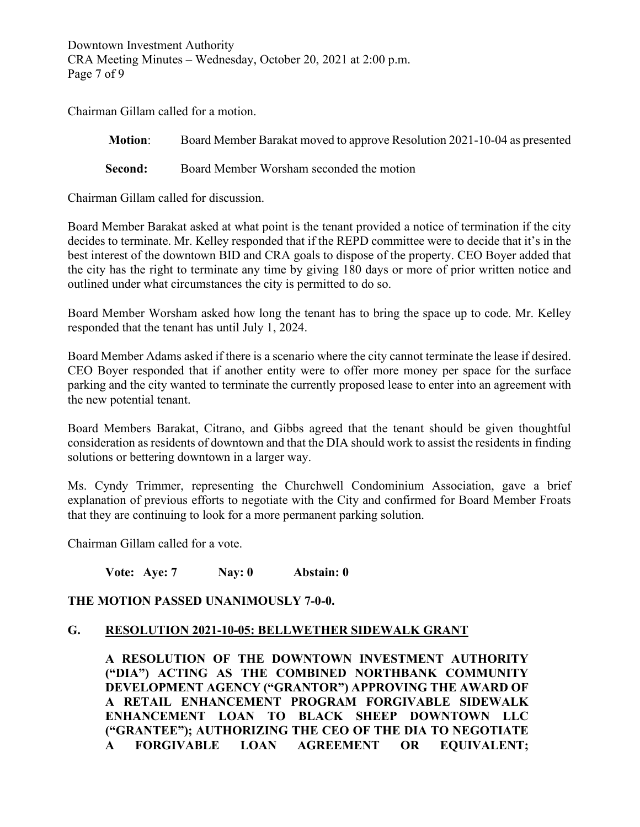Downtown Investment Authority CRA Meeting Minutes – Wednesday, October 20, 2021 at 2:00 p.m. Page 7 of 9

Chairman Gillam called for a motion.

**Motion**: Board Member Barakat moved to approve Resolution 2021-10-04 as presented

**Second:** Board Member Worsham seconded the motion

Chairman Gillam called for discussion.

Board Member Barakat asked at what point is the tenant provided a notice of termination if the city decides to terminate. Mr. Kelley responded that if the REPD committee were to decide that it's in the best interest of the downtown BID and CRA goals to dispose of the property. CEO Boyer added that the city has the right to terminate any time by giving 180 days or more of prior written notice and outlined under what circumstances the city is permitted to do so.

Board Member Worsham asked how long the tenant has to bring the space up to code. Mr. Kelley responded that the tenant has until July 1, 2024.

Board Member Adams asked if there is a scenario where the city cannot terminate the lease if desired. CEO Boyer responded that if another entity were to offer more money per space for the surface parking and the city wanted to terminate the currently proposed lease to enter into an agreement with the new potential tenant.

Board Members Barakat, Citrano, and Gibbs agreed that the tenant should be given thoughtful consideration as residents of downtown and that the DIA should work to assist the residents in finding solutions or bettering downtown in a larger way.

Ms. Cyndy Trimmer, representing the Churchwell Condominium Association, gave a brief explanation of previous efforts to negotiate with the City and confirmed for Board Member Froats that they are continuing to look for a more permanent parking solution.

Chairman Gillam called for a vote.

**Vote: Aye: 7 Nay: 0 Abstain: 0**

#### **THE MOTION PASSED UNANIMOUSLY 7-0-0.**

#### **G. RESOLUTION 2021-10-05: BELLWETHER SIDEWALK GRANT**

**A RESOLUTION OF THE DOWNTOWN INVESTMENT AUTHORITY ("DIA") ACTING AS THE COMBINED NORTHBANK COMMUNITY DEVELOPMENT AGENCY ("GRANTOR") APPROVING THE AWARD OF A RETAIL ENHANCEMENT PROGRAM FORGIVABLE SIDEWALK ENHANCEMENT LOAN TO BLACK SHEEP DOWNTOWN LLC ("GRANTEE"); AUTHORIZING THE CEO OF THE DIA TO NEGOTIATE A FORGIVABLE LOAN AGREEMENT OR EQUIVALENT;**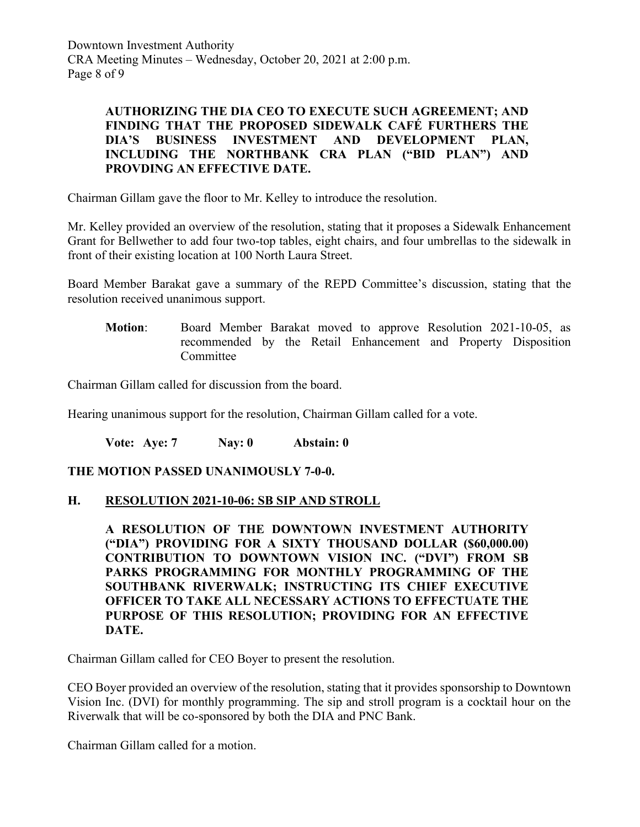Downtown Investment Authority CRA Meeting Minutes – Wednesday, October 20, 2021 at 2:00 p.m. Page 8 of 9

### **AUTHORIZING THE DIA CEO TO EXECUTE SUCH AGREEMENT; AND FINDING THAT THE PROPOSED SIDEWALK CAFÉ FURTHERS THE DIA'S BUSINESS INVESTMENT AND DEVELOPMENT PLAN, INCLUDING THE NORTHBANK CRA PLAN ("BID PLAN") AND PROVDING AN EFFECTIVE DATE.**

Chairman Gillam gave the floor to Mr. Kelley to introduce the resolution.

Mr. Kelley provided an overview of the resolution, stating that it proposes a Sidewalk Enhancement Grant for Bellwether to add four two-top tables, eight chairs, and four umbrellas to the sidewalk in front of their existing location at 100 North Laura Street.

Board Member Barakat gave a summary of the REPD Committee's discussion, stating that the resolution received unanimous support.

**Motion**: Board Member Barakat moved to approve Resolution 2021-10-05, as recommended by the Retail Enhancement and Property Disposition Committee

Chairman Gillam called for discussion from the board.

Hearing unanimous support for the resolution, Chairman Gillam called for a vote.

**Vote: Aye: 7 Nay: 0 Abstain: 0**

#### **THE MOTION PASSED UNANIMOUSLY 7-0-0.**

#### **H. RESOLUTION 2021-10-06: SB SIP AND STROLL**

**A RESOLUTION OF THE DOWNTOWN INVESTMENT AUTHORITY ("DIA") PROVIDING FOR A SIXTY THOUSAND DOLLAR (\$60,000.00) CONTRIBUTION TO DOWNTOWN VISION INC. ("DVI") FROM SB PARKS PROGRAMMING FOR MONTHLY PROGRAMMING OF THE SOUTHBANK RIVERWALK; INSTRUCTING ITS CHIEF EXECUTIVE OFFICER TO TAKE ALL NECESSARY ACTIONS TO EFFECTUATE THE PURPOSE OF THIS RESOLUTION; PROVIDING FOR AN EFFECTIVE DATE.**

Chairman Gillam called for CEO Boyer to present the resolution.

CEO Boyer provided an overview of the resolution, stating that it provides sponsorship to Downtown Vision Inc. (DVI) for monthly programming. The sip and stroll program is a cocktail hour on the Riverwalk that will be co-sponsored by both the DIA and PNC Bank.

Chairman Gillam called for a motion.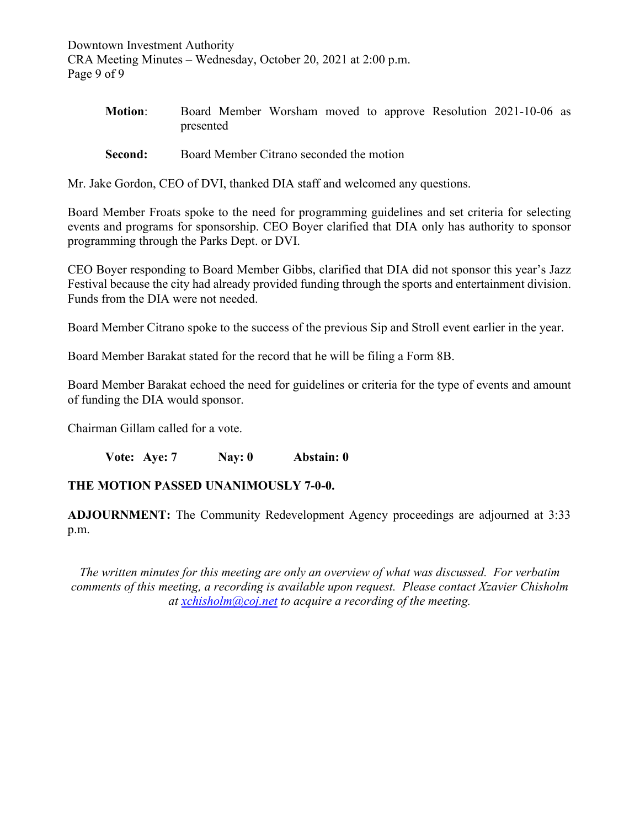Downtown Investment Authority CRA Meeting Minutes – Wednesday, October 20, 2021 at 2:00 p.m. Page 9 of 9

| <b>Motion:</b> |           |  |  |  | Board Member Worsham moved to approve Resolution 2021-10-06 as |  |
|----------------|-----------|--|--|--|----------------------------------------------------------------|--|
|                | presented |  |  |  |                                                                |  |

**Second:** Board Member Citrano seconded the motion

Mr. Jake Gordon, CEO of DVI, thanked DIA staff and welcomed any questions.

Board Member Froats spoke to the need for programming guidelines and set criteria for selecting events and programs for sponsorship. CEO Boyer clarified that DIA only has authority to sponsor programming through the Parks Dept. or DVI.

CEO Boyer responding to Board Member Gibbs, clarified that DIA did not sponsor this year's Jazz Festival because the city had already provided funding through the sports and entertainment division. Funds from the DIA were not needed.

Board Member Citrano spoke to the success of the previous Sip and Stroll event earlier in the year.

Board Member Barakat stated for the record that he will be filing a Form 8B.

Board Member Barakat echoed the need for guidelines or criteria for the type of events and amount of funding the DIA would sponsor.

Chairman Gillam called for a vote.

**Vote: Aye: 7 Nay: 0 Abstain: 0**

#### **THE MOTION PASSED UNANIMOUSLY 7-0-0.**

**ADJOURNMENT:** The Community Redevelopment Agency proceedings are adjourned at 3:33 p.m.

*The written minutes for this meeting are only an overview of what was discussed. For verbatim comments of this meeting, a recording is available upon request. Please contact Xzavier Chisholm at [xchisholm@coj.net](mailto:xchisholm@coj.net) to acquire a recording of the meeting.*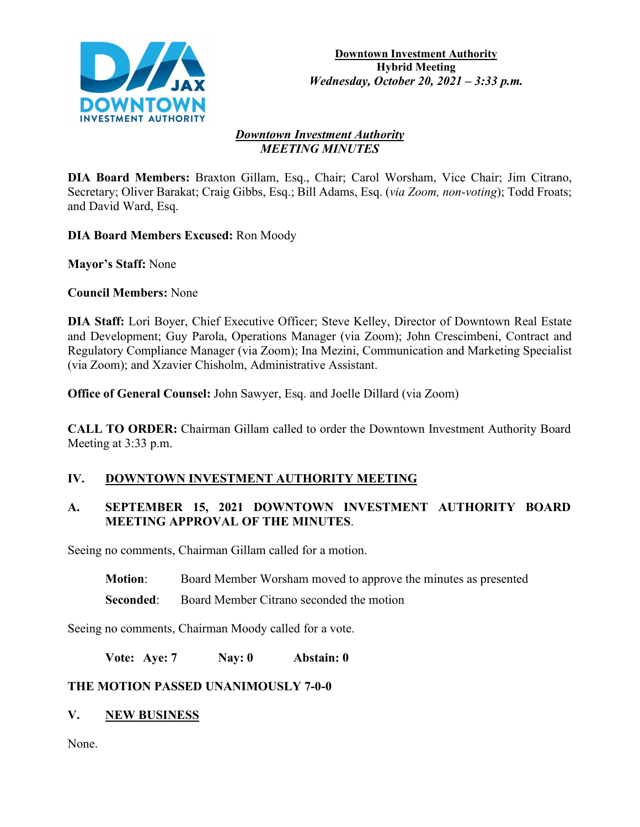

#### *Downtown Investment Authority MEETING MINUTES*

**DIA Board Members:** Braxton Gillam, Esq., Chair; Carol Worsham, Vice Chair; Jim Citrano, Secretary; Oliver Barakat; Craig Gibbs, Esq.; Bill Adams, Esq. (*via Zoom, non-voting*); Todd Froats; and David Ward, Esq.

**DIA Board Members Excused:** Ron Moody

**Mayor's Staff:** None

**Council Members:** None

**DIA Staff:** Lori Boyer, Chief Executive Officer; Steve Kelley, Director of Downtown Real Estate and Development; Guy Parola, Operations Manager (via Zoom); John Crescimbeni, Contract and Regulatory Compliance Manager (via Zoom); Ina Mezini, Communication and Marketing Specialist (via Zoom); and Xzavier Chisholm, Administrative Assistant.

**Office of General Counsel:** John Sawyer, Esq. and Joelle Dillard (via Zoom)

**CALL TO ORDER:** Chairman Gillam called to order the Downtown Investment Authority Board Meeting at 3:33 p.m.

# **IV. DOWNTOWN INVESTMENT AUTHORITY MEETING**

## **A. SEPTEMBER 15, 2021 DOWNTOWN INVESTMENT AUTHORITY BOARD MEETING APPROVAL OF THE MINUTES**.

Seeing no comments, Chairman Gillam called for a motion.

**Motion**: Board Member Worsham moved to approve the minutes as presented

**Seconded:** Board Member Citrano seconded the motion

Seeing no comments, Chairman Moody called for a vote.

**Vote: Aye: 7 Nay: 0 Abstain: 0**

# **THE MOTION PASSED UNANIMOUSLY 7-0-0**

# **V. NEW BUSINESS**

None.